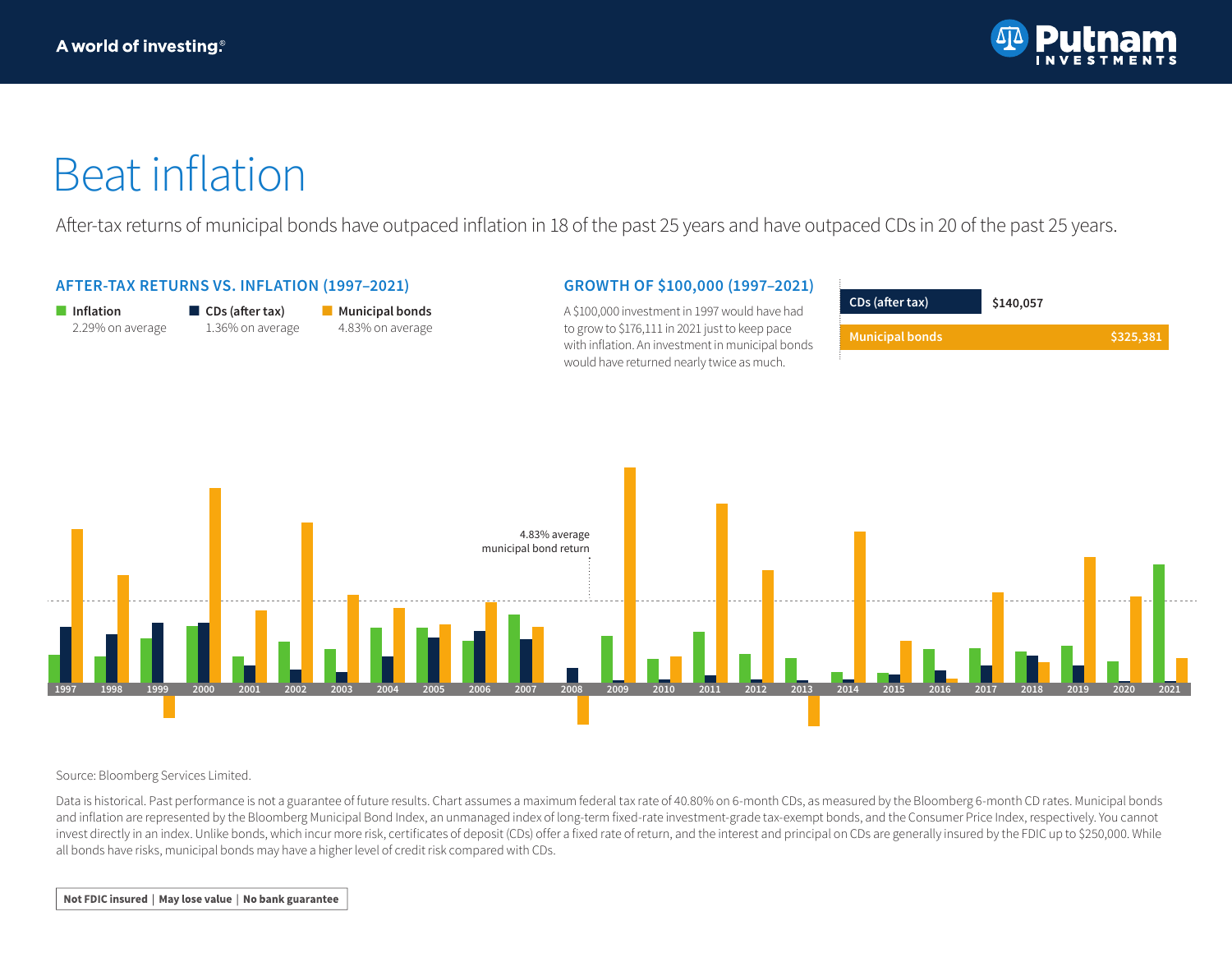

## Beat inflation

After-tax returns of municipal bonds have outpaced inflation in 18 of the past 25 years and have outpaced CDs in 20 of the past 25 years.

#### **AFTER-TAX RETURNS VS. INFLATION (1997–2021)**

| Imflation        | $\blacksquare$ CDs (after tax) | <b>Municipal bonds</b> |
|------------------|--------------------------------|------------------------|
| 2.29% on average | 1.36% on average               | 4.83% on average       |

## A \$100,000 investment in 1997 would have had to grow to \$176,111 in 2021 just to keep pace with inflation. An investment in municipal bonds would have returned nearly twice as much.

**GROWTH OF \$100,000 (1997–2021)**

**CDs (after tax) \$140,057**

**Municipal bonds \$325,381** 



#### Source: Bloomberg Services Limited.

Data is historical. Past performance is not a guarantee of future results. Chart assumes a maximum federal tax rate of 40.80% on 6-month CDs, as measured by the Bloomberg 6-month CD rates. Municipal bonds and inflation are represented by the Bloomberg Municipal Bond Index, an unmanaged index of long-term fixed-rate investment-grade tax-exempt bonds, and the Consumer Price Index, respectively. You cannot invest directly in an index. Unlike bonds, which incur more risk, certificates of deposit (CDs) offer a fixed rate of return, and the interest and principal on CDs are generally insured by the FDIC up to \$250,000. While all bonds have risks, municipal bonds may have a higher level of credit risk compared with CDs.